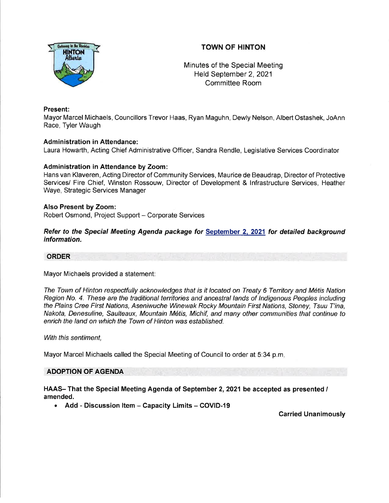# TOWN OF HINTON



Minutes of the Special Meeting Held September 2,2021 Committee Room

### Present:

Mayor Marcel Michaels, Councillors Trevor Haas, Ryan Maguhn, Dewly Nelson, Albert Ostashek, JoAnn Race, Tyler Waugh

#### Administration in Attendance:

Laura Howarth, Acting Chief Administrative Officer, Sandra Rendle, Legislative Services Coordinator

#### Administration in Attendance by Zoom:

Hans van Klaveren, Acting Director of Community Services, Maurice de Beaudrap, Director of Protective Services/ Fire Chief, Winston Rossouw, Director of Development & lnfrastructure Services, Heather Waye, Strategic Services Manager

#### Also Present by Zoom:

Robert Osmond, Project Support - Corporate Services

Refer to the Special Meeting Agenda package for September 2, 2021 for detailed background information.

#### ORDER

Mayor Michaels provided a statement:

The Town of Hinton respectfully acknowledges that is it located on Treaty 6 Territory and M6tis Nation Region No. 4. Ihese are the traditional territories and ancestral lands of lndigenous Peoples including the Plains Cree First Nations, Aseniwuche Winewak Rocky Mountain First Nations, Sfoney, Tsuu T'ina, Nakota, Denesuline, Saulteaux, Mountain M6tis, Michif, and many other communities that continue to enrich the land on which the Town of Hinton was established.

With this sentiment,

Mayor Marcel Michaels called the Special Meeting of Council to order at 5:34 p.m

## ADOPTION OF AGENDA

HAAS- That the Special Meeting Agenda of September 2,2021 be accepted as presented / amended.

• Add - Discussion Item - Capacity Limits - COVID-19

Carried Unanimously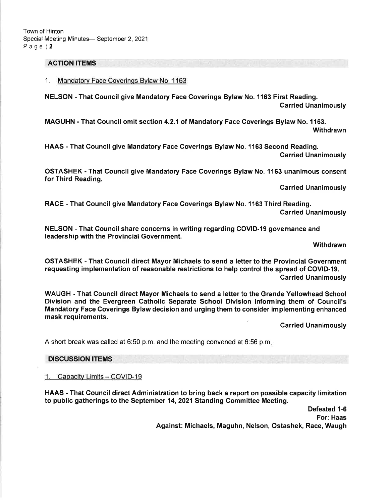#### ACTION ITEMS

1. Mandatorv Face Coverinqs Bvlaw No. <sup>1163</sup>

NELSON - That Council give Mandatory Face Coverings Bylaw No. 1163 First Reading. Carried Unanimously

MAGUHN - That Council omit section 4.2.1 of Mandatory Face Coverings Bylaw No. 1163. Withdrawn

HAAS - That Council give Mandatory Face Coverings Bylaw No. 1163 Second Reading. Carried Unanimously

OSTASHEK - That Council give Mandatory Face Coverings Bylaw No. 1163 unanimous consent for Third Reading.

Carried Unanimously

RACE - That Council give Mandatory Face Coverings Bylaw No. 1163 Third Reading. Carried Unanimously

NELSON - That Council share concerns in writing regarding COVID-19 governance and leadership with the Provincial Government.

Withdrawn

OSTASHEK - That Council direct Mayor Michaels to send a letter to the Provincial Government requesting implementation of reasonable restrictions to help control the spread of COVID-19.

Carried Unanimously

WAUGH - That Council direct Mayor Michaels to send a letter to the Grande Yellowhead School Division and the Evergreen Catholic Separate School Division informing them of Council's Mandatory Face Coverings Bylaw decision and urging them to consider implementing enhanced mask requirements.

**Carried Unanimously** 

A short break was called at 6:50 p.m. and the meeting convened at 6:56 p.m

#### DISCUSSION ITEMS

1. Capacity Limits - COVID-19

HAAS - That Council direct Administration to bring back a report on possible capacity limitation to public gatherings to the September 14, 2021 Standing Committee Meeting.

> Defeated 1-6 For: Haas Against: Michaels, Maguhn, Nelson, Ostashek, Race, Waugh